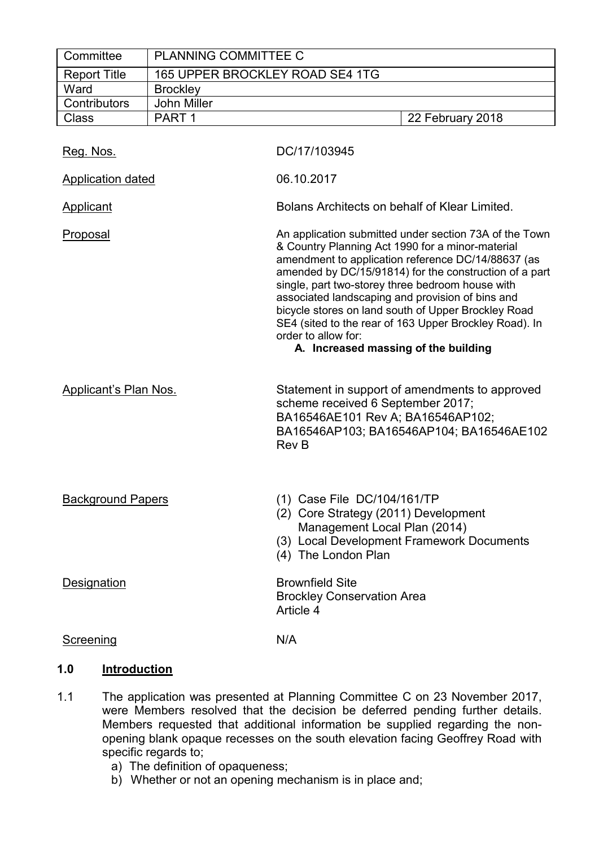| Committee                    | PLANNING COMMITTEE C            |                                                                                                                                                                                                                                                                                                                                                                                                                                                                                                                    |
|------------------------------|---------------------------------|--------------------------------------------------------------------------------------------------------------------------------------------------------------------------------------------------------------------------------------------------------------------------------------------------------------------------------------------------------------------------------------------------------------------------------------------------------------------------------------------------------------------|
| <b>Report Title</b>          | 165 UPPER BROCKLEY ROAD SE4 1TG |                                                                                                                                                                                                                                                                                                                                                                                                                                                                                                                    |
| Ward                         | <b>Brockley</b>                 |                                                                                                                                                                                                                                                                                                                                                                                                                                                                                                                    |
| Contributors                 | John Miller                     |                                                                                                                                                                                                                                                                                                                                                                                                                                                                                                                    |
| <b>Class</b>                 | PART <sub>1</sub>               | 22 February 2018                                                                                                                                                                                                                                                                                                                                                                                                                                                                                                   |
| Reg. Nos.                    |                                 | DC/17/103945                                                                                                                                                                                                                                                                                                                                                                                                                                                                                                       |
| <b>Application dated</b>     |                                 | 06.10.2017                                                                                                                                                                                                                                                                                                                                                                                                                                                                                                         |
| <b>Applicant</b>             |                                 | Bolans Architects on behalf of Klear Limited.                                                                                                                                                                                                                                                                                                                                                                                                                                                                      |
| Proposal                     |                                 | An application submitted under section 73A of the Town<br>& Country Planning Act 1990 for a minor-material<br>amendment to application reference DC/14/88637 (as<br>amended by DC/15/91814) for the construction of a part<br>single, part two-storey three bedroom house with<br>associated landscaping and provision of bins and<br>bicycle stores on land south of Upper Brockley Road<br>SE4 (sited to the rear of 163 Upper Brockley Road). In<br>order to allow for:<br>A. Increased massing of the building |
| <b>Applicant's Plan Nos.</b> |                                 | Statement in support of amendments to approved<br>scheme received 6 September 2017;<br>BA16546AE101 Rev A; BA16546AP102;<br>BA16546AP103; BA16546AP104; BA16546AE102<br><b>Rev B</b>                                                                                                                                                                                                                                                                                                                               |
| <b>Background Papers</b>     |                                 | (1) Case File DC/104/161/TP<br>(2) Core Strategy (2011) Development<br>Management Local Plan (2014)<br>(3) Local Development Framework Documents<br>(4) The London Plan                                                                                                                                                                                                                                                                                                                                            |
| <b>Designation</b>           |                                 | <b>Brownfield Site</b><br><b>Brockley Conservation Area</b><br>Article 4                                                                                                                                                                                                                                                                                                                                                                                                                                           |
| Screening                    |                                 | N/A                                                                                                                                                                                                                                                                                                                                                                                                                                                                                                                |

## **1.0 Introduction**

- 1.1 The application was presented at Planning Committee C on 23 November 2017, were Members resolved that the decision be deferred pending further details. Members requested that additional information be supplied regarding the nonopening blank opaque recesses on the south elevation facing Geoffrey Road with specific regards to;
	- a) The definition of opaqueness;
	- b) Whether or not an opening mechanism is in place and;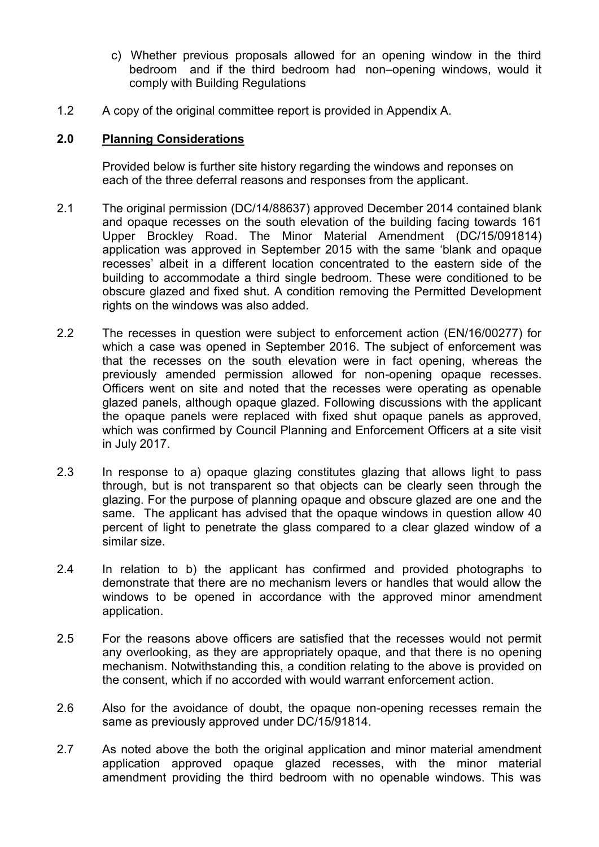- c) Whether previous proposals allowed for an opening window in the third bedroom and if the third bedroom had non–opening windows, would it comply with Building Regulations
- 1.2 A copy of the original committee report is provided in Appendix A.

## **2.0 Planning Considerations**

Provided below is further site history regarding the windows and reponses on each of the three deferral reasons and responses from the applicant.

- 2.1 The original permission (DC/14/88637) approved December 2014 contained blank and opaque recesses on the south elevation of the building facing towards 161 Upper Brockley Road. The Minor Material Amendment (DC/15/091814) application was approved in September 2015 with the same 'blank and opaque recesses' albeit in a different location concentrated to the eastern side of the building to accommodate a third single bedroom. These were conditioned to be obscure glazed and fixed shut. A condition removing the Permitted Development rights on the windows was also added.
- 2.2 The recesses in question were subject to enforcement action (EN/16/00277) for which a case was opened in September 2016. The subject of enforcement was that the recesses on the south elevation were in fact opening, whereas the previously amended permission allowed for non-opening opaque recesses. Officers went on site and noted that the recesses were operating as openable glazed panels, although opaque glazed. Following discussions with the applicant the opaque panels were replaced with fixed shut opaque panels as approved, which was confirmed by Council Planning and Enforcement Officers at a site visit in July 2017.
- 2.3 In response to a) opaque glazing constitutes glazing that allows light to pass through, but is not transparent so that objects can be clearly seen through the glazing. For the purpose of planning opaque and obscure glazed are one and the same. The applicant has advised that the opaque windows in question allow 40 percent of light to penetrate the glass compared to a clear glazed window of a similar size.
- 2.4 In relation to b) the applicant has confirmed and provided photographs to demonstrate that there are no mechanism levers or handles that would allow the windows to be opened in accordance with the approved minor amendment application.
- 2.5 For the reasons above officers are satisfied that the recesses would not permit any overlooking, as they are appropriately opaque, and that there is no opening mechanism. Notwithstanding this, a condition relating to the above is provided on the consent, which if no accorded with would warrant enforcement action.
- 2.6 Also for the avoidance of doubt, the opaque non-opening recesses remain the same as previously approved under DC/15/91814.
- 2.7 As noted above the both the original application and minor material amendment application approved opaque glazed recesses, with the minor material amendment providing the third bedroom with no openable windows. This was